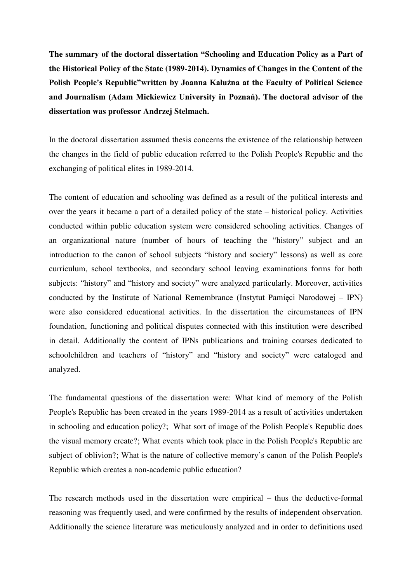**The summary of the doctoral dissertation "Schooling and Education Policy as a Part of the Historical Policy of the State (1989-2014). Dynamics of Changes in the Content of the Polish People's Republic"written by Joanna Kałużna at the Faculty of Political Science and Journalism (Adam Mickiewicz University in Poznań). The doctoral advisor of the dissertation was professor Andrzej Stelmach.** 

In the doctoral dissertation assumed thesis concerns the existence of the relationship between the changes in the field of public education referred to the Polish People's Republic and the exchanging of political elites in 1989-2014.

The content of education and schooling was defined as a result of the political interests and over the years it became a part of a detailed policy of the state – historical policy. Activities conducted within public education system were considered schooling activities. Changes of an organizational nature (number of hours of teaching the "history" subject and an introduction to the canon of school subjects "history and society" lessons) as well as core curriculum, school textbooks, and secondary school leaving examinations forms for both subjects: "history" and "history and society" were analyzed particularly. Moreover, activities conducted by the Institute of National Remembrance (Instytut Pamięci Narodowej – IPN) were also considered educational activities. In the dissertation the circumstances of IPN foundation, functioning and political disputes connected with this institution were described in detail. Additionally the content of IPNs publications and training courses dedicated to schoolchildren and teachers of "history" and "history and society" were cataloged and analyzed.

The fundamental questions of the dissertation were: What kind of memory of the Polish People's Republic has been created in the years 1989-2014 as a result of activities undertaken in schooling and education policy?; What sort of image of the Polish People's Republic does the visual memory create?; What events which took place in the Polish People's Republic are subject of oblivion?; What is the nature of collective memory's canon of the Polish People's Republic which creates a non-academic public education?

The research methods used in the dissertation were empirical – thus the deductive-formal reasoning was frequently used, and were confirmed by the results of independent observation. Additionally the science literature was meticulously analyzed and in order to definitions used